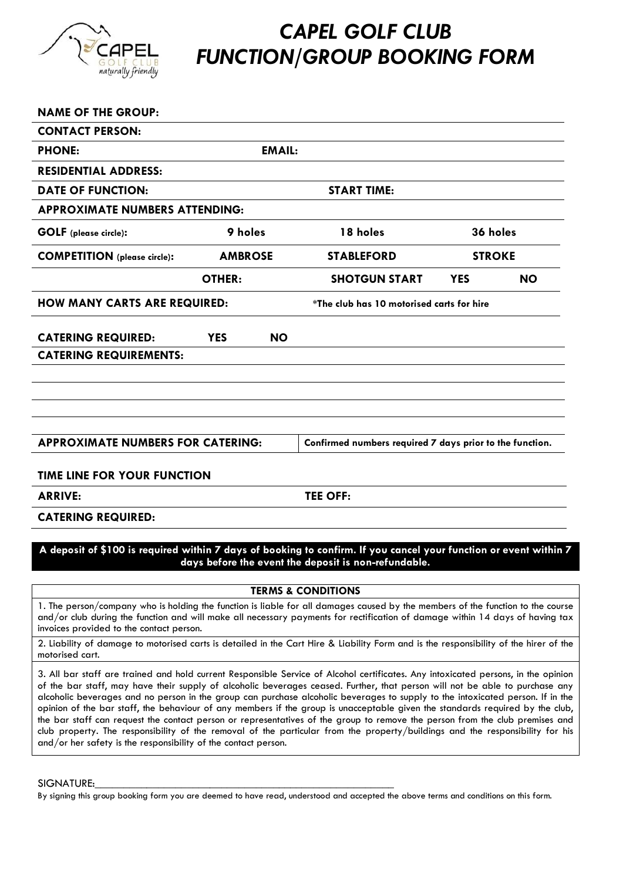

## *CAPEL GOLF CLUB FUNCTION/GROUP BOOKING FORM*

| <b>NAME OF THE GROUP:</b>                |                    |                                           |                                                          |               |           |
|------------------------------------------|--------------------|-------------------------------------------|----------------------------------------------------------|---------------|-----------|
| <b>CONTACT PERSON:</b>                   |                    |                                           |                                                          |               |           |
| <b>PHONE:</b>                            | <b>EMAIL:</b>      |                                           |                                                          |               |           |
| <b>RESIDENTIAL ADDRESS:</b>              |                    |                                           |                                                          |               |           |
| <b>DATE OF FUNCTION:</b>                 | <b>START TIME:</b> |                                           |                                                          |               |           |
| <b>APPROXIMATE NUMBERS ATTENDING:</b>    |                    |                                           |                                                          |               |           |
| <b>GOLF</b> (please circle):             | 9 holes            |                                           | 18 holes                                                 | 36 holes      |           |
| <b>COMPETITION</b> (please circle):      | <b>AMBROSE</b>     |                                           | <b>STABLEFORD</b>                                        | <b>STROKE</b> |           |
|                                          | <b>OTHER:</b>      |                                           | <b>SHOTGUN START</b>                                     | <b>YES</b>    | <b>NO</b> |
| <b>HOW MANY CARTS ARE REQUIRED:</b>      |                    | *The club has 10 motorised carts for hire |                                                          |               |           |
| <b>CATERING REQUIRED:</b>                | <b>YES</b>         | <b>NO</b>                                 |                                                          |               |           |
| <b>CATERING REQUIREMENTS:</b>            |                    |                                           |                                                          |               |           |
|                                          |                    |                                           |                                                          |               |           |
|                                          |                    |                                           |                                                          |               |           |
|                                          |                    |                                           |                                                          |               |           |
| <b>APPROXIMATE NUMBERS FOR CATERING:</b> |                    |                                           | Confirmed numbers required 7 days prior to the function. |               |           |
| <b>TIME LINE FOR YOUR FUNCTION</b>       |                    |                                           |                                                          |               |           |

**ARRIVE: TEE OFF:**

#### **CATERING REQUIRED:**

#### **A deposit of \$100 is required within 7 days of booking to confirm. If you cancel your function or event within 7 days before the event the deposit is non-refundable.**

#### **TERMS & CONDITIONS**

1. The person/company who is holding the function is liable for all damages caused by the members of the function to the course and/or club during the function and will make all necessary payments for rectification of damage within 14 days of having tax invoices provided to the contact person.

2. Liability of damage to motorised carts is detailed in the Cart Hire & Liability Form and is the responsibility of the hirer of the motorised cart.

3. All bar staff are trained and hold current Responsible Service of Alcohol certificates. Any intoxicated persons, in the opinion of the bar staff, may have their supply of alcoholic beverages ceased. Further, that person will not be able to purchase any alcoholic beverages and no person in the group can purchase alcoholic beverages to supply to the intoxicated person. If in the opinion of the bar staff, the behaviour of any members if the group is unacceptable given the standards required by the club, the bar staff can request the contact person or representatives of the group to remove the person from the club premises and club property. The responsibility of the removal of the particular from the property/buildings and the responsibility for his and/or her safety is the responsibility of the contact person.

SIGNATURE:

By signing this group booking form you are deemed to have read, understood and accepted the above terms and conditions on this form.